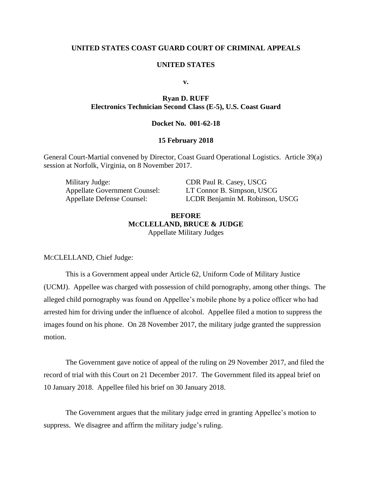## **UNITED STATES COAST GUARD COURT OF CRIMINAL APPEALS**

### **UNITED STATES**

**v.**

# **Ryan D. RUFF Electronics Technician Second Class (E-5), U.S. Coast Guard**

## **Docket No. 001-62-18**

## **15 February 2018**

General Court-Martial convened by Director, Coast Guard Operational Logistics. Article 39(a) session at Norfolk, Virginia, on 8 November 2017.

Military Judge: CDR Paul R. Casey, USCG

Appellate Government Counsel: LT Connor B. Simpson, USCG Appellate Defense Counsel: LCDR Benjamin M. Robinson, USCG

# **BEFORE MCCLELLAND, BRUCE & JUDGE** Appellate Military Judges

MCCLELLAND, Chief Judge:

This is a Government appeal under Article 62, Uniform Code of Military Justice (UCMJ). Appellee was charged with possession of child pornography, among other things. The alleged child pornography was found on Appellee's mobile phone by a police officer who had arrested him for driving under the influence of alcohol. Appellee filed a motion to suppress the images found on his phone. On 28 November 2017, the military judge granted the suppression motion.

The Government gave notice of appeal of the ruling on 29 November 2017, and filed the record of trial with this Court on 21 December 2017. The Government filed its appeal brief on 10 January 2018. Appellee filed his brief on 30 January 2018.

The Government argues that the military judge erred in granting Appellee's motion to suppress. We disagree and affirm the military judge's ruling.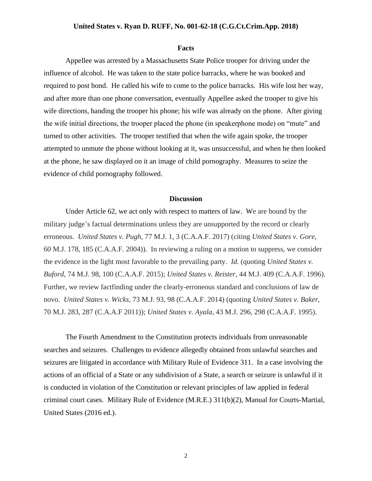#### **Facts**

Appellee was arrested by a Massachusetts State Police trooper for driving under the influence of alcohol. He was taken to the state police barracks, where he was booked and required to post bond. He called his wife to come to the police barracks. His wife lost her way, and after more than one phone conversation, eventually Appellee asked the trooper to give his wife directions, handing the trooper his phone; his wife was already on the phone. After giving the wife initial directions, the trooper placed the phone (in speakerphone mode) on "mute" and turned to other activities. The trooper testified that when the wife again spoke, the trooper attempted to unmute the phone without looking at it, was unsuccessful, and when he then looked at the phone, he saw displayed on it an image of child pornography. Measures to seize the evidence of child pornography followed.

## **Discussion**

Under Article 62, we act only with respect to matters of law. We are bound by the military judge's factual determinations unless they are unsupported by the record or clearly erroneous. *United States v. Pugh*, 77 M.J. 1, 3 (C.A.A.F. 2017) (citing *United States v. Gore*, 60 M.J. 178, 185 (C.A.A.F. 2004)). In reviewing a ruling on a motion to suppress, we consider the evidence in the light most favorable to the prevailing party. *Id.* (quoting *United States v. Buford*, 74 M.J. 98, 100 (C.A.A.F. 2015); *United States v. Reister*, 44 M.J. 409 (C.A.A.F. 1996). Further, we review factfinding under the clearly-erroneous standard and conclusions of law de novo. *United States v. Wicks*, 73 M.J. 93, 98 (C.A.A.F. 2014) (quoting *United States v. Baker*, 70 M.J. 283, 287 (C.A.A.F 2011)); *United States v. Ayala*, 43 M.J. 296, 298 (C.A.A.F. 1995).

The Fourth Amendment to the Constitution protects individuals from unreasonable searches and seizures. Challenges to evidence allegedly obtained from unlawful searches and seizures are litigated in accordance with Military Rule of Evidence 311. In a case involving the actions of an official of a State or any subdivision of a State, a search or seizure is unlawful if it is conducted in violation of the Constitution or relevant principles of law applied in federal criminal court cases. Military Rule of Evidence (M.R.E.) 311(b)(2), Manual for Courts-Martial, United States (2016 ed.).

2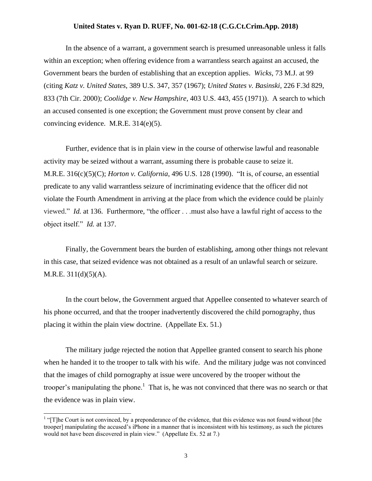In the absence of a warrant, a government search is presumed unreasonable unless it falls within an exception; when offering evidence from a warrantless search against an accused, the Government bears the burden of establishing that an exception applies. *Wicks*, 73 M.J. at 99 (citing *Katz v. United States*, 389 U.S. 347, 357 (1967); *United States v. Basinski*, 226 F.3d 829, 833 (7th Cir. 2000); *Coolidge v. New Hampshire*, 403 U.S. 443, 455 (1971)). A search to which an accused consented is one exception; the Government must prove consent by clear and convincing evidence. M.R.E. 314(e)(5).

Further, evidence that is in plain view in the course of otherwise lawful and reasonable activity may be seized without a warrant, assuming there is probable cause to seize it. M.R.E. 316(c)(5)(C); *Horton v. California*, 496 U.S. 128 (1990). "It is, of course, an essential predicate to any valid warrantless seizure of incriminating evidence that the officer did not violate the Fourth Amendment in arriving at the place from which the evidence could be plainly viewed." *Id.* at 136. Furthermore, "the officer . . .must also have a lawful right of access to the object itself." *Id.* at 137.

Finally, the Government bears the burden of establishing, among other things not relevant in this case, that seized evidence was not obtained as a result of an unlawful search or seizure. M.R.E. 311(d)(5)(A).

In the court below, the Government argued that Appellee consented to whatever search of his phone occurred, and that the trooper inadvertently discovered the child pornography, thus placing it within the plain view doctrine. (Appellate Ex. 51.)

The military judge rejected the notion that Appellee granted consent to search his phone when he handed it to the trooper to talk with his wife. And the military judge was not convinced that the images of child pornography at issue were uncovered by the trooper without the trooper's manipulating the phone.<sup>1</sup> That is, he was not convinced that there was no search or that the evidence was in plain view.

<sup>&</sup>lt;sup>1</sup> "[T]he Court is not convinced, by a preponderance of the evidence, that this evidence was not found without [the trooper] manipulating the accused's iPhone in a manner that is inconsistent with his testimony, as such the pictures would not have been discovered in plain view." (Appellate Ex. 52 at 7.)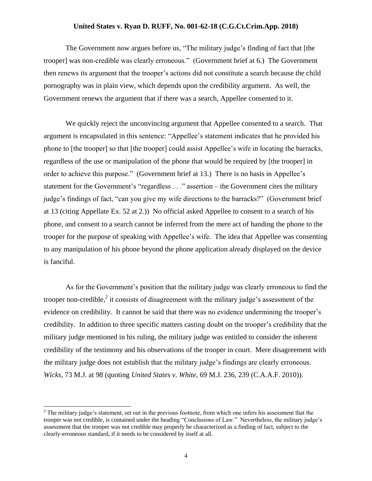The Government now argues before us, "The military judge's finding of fact that [the trooper] was non-credible was clearly erroneous." (Government brief at 6.) The Government then renews its argument that the trooper's actions did not constitute a search because the child pornography was in plain view, which depends upon the credibility argument. As well, the Government renews the argument that if there was a search, Appellee consented to it.

We quickly reject the unconvincing argument that Appellee consented to a search. That argument is encapsulated in this sentence: "Appellee's statement indicates that he provided his phone to [the trooper] so that [the trooper] could assist Appellee's wife in locating the barracks, regardless of the use or manipulation of the phone that would be required by [the trooper] in order to achieve this purpose." (Government brief at 13.) There is no basis in Appellee's statement for the Government's "regardless . . ." assertion – the Government cites the military judge's findings of fact, "can you give my wife directions to the barracks?" (Government brief at 13 (citing Appellate Ex. 52 at 2.)) No official asked Appellee to consent to a search of his phone, and consent to a search cannot be inferred from the mere act of handing the phone to the trooper for the purpose of speaking with Appellee's wife. The idea that Appellee was consenting to any manipulation of his phone beyond the phone application already displayed on the device is fanciful.

As for the Government's position that the military judge was clearly erroneous to find the trooper non-credible,<sup>2</sup> it consists of disagreement with the military judge's assessment of the evidence on credibility. It cannot be said that there was no evidence undermining the trooper's credibility. In addition to three specific matters casting doubt on the trooper's credibility that the military judge mentioned in his ruling, the military judge was entitled to consider the inherent credibility of the testimony and his observations of the trooper in court. Mere disagreement with the military judge does not establish that the military judge's findings are clearly erroneous. *Wicks*, 73 M.J. at 98 (quoting *United States v. White*, 69 M.J. 236, 239 (C.A.A.F. 2010)).

 $\overline{\phantom{a}}$ 

 $<sup>2</sup>$  The military judge's statement, set out in the previous footnote, from which one infers his assessment that the</sup> trooper was not credible, is contained under the heading "Conclusions of Law." Nevertheless, the military judge's assessment that the trooper was not credible may properly be characterized as a finding of fact, subject to the clearly-erroneous standard, if it needs to be considered by itself at all.